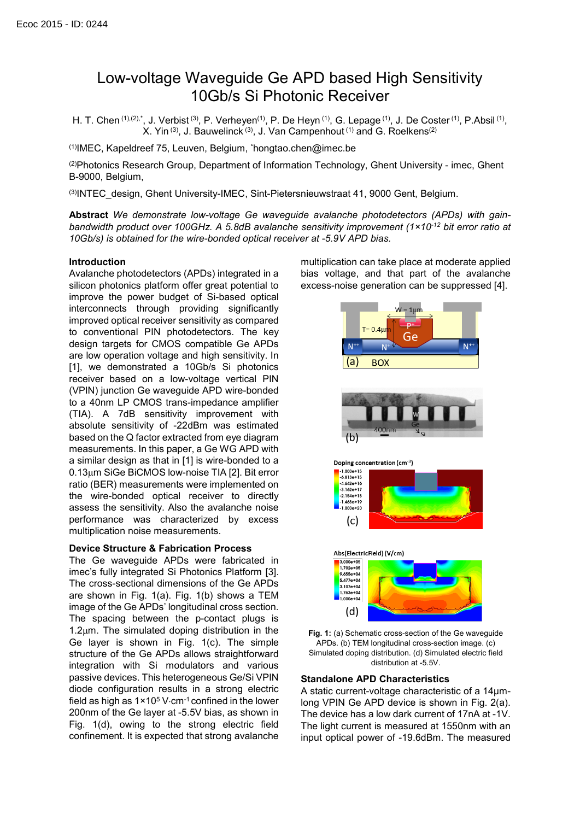# Low-voltage Waveguide Ge APD based High Sensitivity 10Gb/s Si Photonic Receiver

H. T. Chen (1)،(2)،\*, [J. Verbist](mailto:jochem.verbist@intec.ugent.be) (<sup>3)</sup>, P. Verheyen<sup>(1)</sup>, P. De Heyn (1), G. Lepage (1), J. De Coster (1), P.Absil (1), [X. Yin](mailto:xin.yin@intec.UGent.be) <sup>(3)</sup>, [J. Bauwelinck](mailto:johan.bauwelinck@intec.UGent.be) <sup>(3)</sup>, J. Van Campenhout <sup>(1)</sup> and G. Roelkens<sup>(2)</sup>

(1) IMEC, Kapeldreef 75, Leuven, Belgium, \* [hongtao.chen@imec.be](mailto:hongtao.chen@imec.be)

(2) Photonics Research Group, Department of Information Technology, Ghent University - imec, Ghent B-9000, Belgium,

(3) INTEC\_design, Ghent University-IMEC, Sint-Pietersnieuwstraat 41, 9000 Gent, Belgium.

**Abstract** *We demonstrate low-voltage Ge waveguide avalanche photodetectors (APDs) with gainbandwidth product over 100GHz. A 5.8dB avalanche sensitivity improvement (1×10-12 bit error ratio at 10Gb/s) is obtained for the wire-bonded optical receiver at -5.9V APD bias.*

## **Introduction**

Avalanche photodetectors (APDs) integrated in a silicon photonics platform offer great potential to improve the power budget of Si-based optical interconnects through providing significantly improved optical receiver sensitivity as compared to conventional PIN photodetectors. The key design targets for CMOS compatible Ge APDs are low operation voltage and high sensitivity. In [1], we demonstrated a 10Gb/s Si photonics receiver based on a low-voltage vertical PIN (VPIN) junction Ge waveguide APD wire-bonded to a 40nm LP CMOS trans-impedance amplifier (TIA). A 7dB sensitivity improvement with absolute sensitivity of -22dBm was estimated based on the Q factor extracted from eye diagram measurements. In this paper, a Ge WG APD with a similar design as that in [1] is wire-bonded to a 0.13µm SiGe BiCMOS low-noise TIA [2]. Bit error ratio (BER) measurements were implemented on the wire-bonded optical receiver to directly assess the sensitivity. Also the avalanche noise performance was characterized by excess multiplication noise measurements.

## **Device Structure & Fabrication Process**

The Ge waveguide APDs were fabricated in imec's fully integrated Si Photonics Platform [3]. The cross-sectional dimensions of the Ge APDs are shown in Fig. 1(a). Fig. 1(b) shows a TEM image of the Ge APDs' longitudinal cross section. The spacing between the p-contact plugs is  $1.2\mu$ m. The simulated doping distribution in the Ge layer is shown in Fig. 1(c). The simple structure of the Ge APDs allows straightforward integration with Si modulators and various passive devices. This heterogeneous Ge/Si VPIN diode configuration results in a strong electric field as high as 1×105 V⋅cm-1 confined in the lower 200nm of the Ge layer at -5.5V bias, as shown in Fig. 1(d), owing to the strong electric field confinement. It is expected that strong avalanche multiplication can take place at moderate applied bias voltage, and that part of the avalanche excess-noise generation can be suppressed [4].



**Fig. 1:** (a) Schematic cross-section of the Ge waveguide APDs. (b) TEM longitudinal cross-section image. (c) Simulated doping distribution. (d) Simulated electric field distribution at -5.5V.

# **Standalone APD Characteristics**

A static current-voltage characteristic of a 14µmlong VPIN Ge APD device is shown in Fig. 2(a). The device has a low dark current of 17nA at -1V. The light current is measured at 1550nm with an input optical power of -19.6dBm. The measured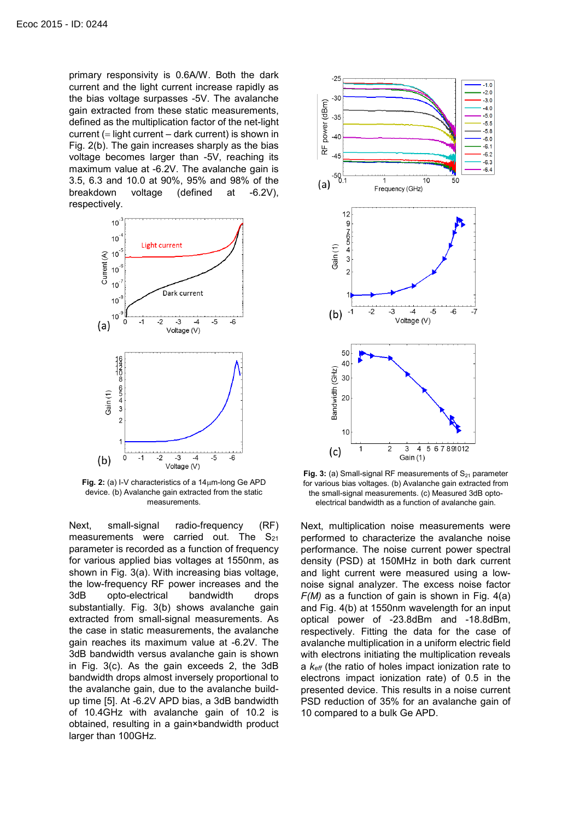primary responsivity is 0.6A/W. Both the dark current and the light current increase rapidly as the bias voltage surpasses -5V. The avalanche gain extracted from these static measurements, defined as the multiplication factor of the net-light current  $(=$  light current – dark current) is shown in Fig. 2(b). The gain increases sharply as the bias voltage becomes larger than -5V, reaching its maximum value at -6.2V. The avalanche gain is 3.5, 6.3 and 10.0 at 90%, 95% and 98% of the breakdown voltage (defined at -6.2V), respectively.



**Fig. 2:** (a) I-V characteristics of a 14µm-long Ge APD device. (b) Avalanche gain extracted from the static measurements.

Next, small-signal radio-frequency (RF) measurements were carried out. The  $S_{21}$ parameter is recorded as a function of frequency for various applied bias voltages at 1550nm, as shown in Fig. 3(a). With increasing bias voltage, the low-frequency RF power increases and the 3dB opto-electrical bandwidth drops substantially. Fig. 3(b) shows avalanche gain extracted from small-signal measurements. As the case in static measurements, the avalanche gain reaches its maximum value at -6.2V. The 3dB bandwidth versus avalanche gain is shown in Fig. 3(c). As the gain exceeds 2, the 3dB bandwidth drops almost inversely proportional to the avalanche gain, due to the avalanche buildup time [5]. At -6.2V APD bias, a 3dB bandwidth of 10.4GHz with avalanche gain of 10.2 is obtained, resulting in a gain×bandwidth product larger than 100GHz.



**Fig. 3:** (a) Small-signal RF measurements of  $S_{21}$  parameter for various bias voltages. (b) Avalanche gain extracted from the small-signal measurements. (c) Measured 3dB optoelectrical bandwidth as a function of avalanche gain.

Next, multiplication noise measurements were performed to characterize the avalanche noise performance. The noise current power spectral density (PSD) at 150MHz in both dark current and light current were measured using a lownoise signal analyzer. The excess noise factor *F(M)* as a function of gain is shown in Fig. 4(a) and Fig. 4(b) at 1550nm wavelength for an input optical power of -23.8dBm and -18.8dBm, respectively. Fitting the data for the case of avalanche multiplication in a uniform electric field with electrons initiating the multiplication reveals a *keff* (the ratio of holes impact ionization rate to electrons impact ionization rate) of 0.5 in the presented device. This results in a noise current PSD reduction of 35% for an avalanche gain of 10 compared to a bulk Ge APD.